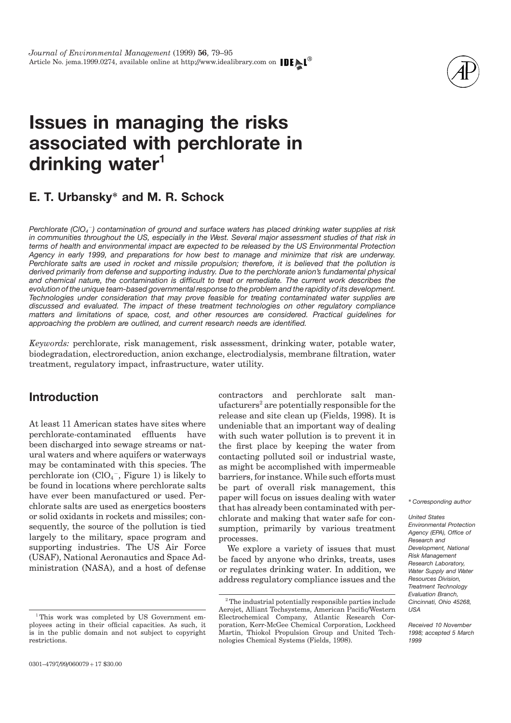## **Issues in managing the risks associated with perchlorate in** drinking water<sup>1</sup>

## **E. T. Urbansky**∗ **and M. R. Schock**

*Perchlorate (ClO4* <sup>−</sup>*) contamination of ground and surface waters has placed drinking water supplies at risk in communities throughout the US, especially in the West. Several major assessment studies of that risk in terms of health and environmental impact are expected to be released by the US Environmental Protection Agency in early 1999, and preparations for how best to manage and minimize that risk are underway. Perchlorate salts are used in rocket and missile propulsion; therefore, it is believed that the pollution is derived primarily from defense and supporting industry. Due to the perchlorate anion's fundamental physical and chemical nature, the contamination is difficult to treat or remediate. The current work describes the evolution of the unique team-based governmental response to the problem and the rapidity of its development. Technologies under consideration that may prove feasible for treating contaminated water supplies are discussed and evaluated. The impact of these treatment technologies on other regulatory compliance matters and limitations of space, cost, and other resources are considered. Practical guidelines for approaching the problem are outlined, and current research needs are identified.*

*Keywords:* perchlorate, risk management, risk assessment, drinking water, potable water, biodegradation, electroreduction, anion exchange, electrodialysis, membrane filtration, water treatment, regulatory impact, infrastructure, water utility.

At least 11 American states have sites where undeniable that an important way of dealing<br>perchlorate-contaminated effluents have with such water pollution is to prevent it in perchlorate-contaminated effluents have with such water pollution is to prevent it in<br>been discharged into sewage streams or nat-<br>the first place by keeping the water from been discharged into sewage streams or nat-<br>ural waters and where aquifers or waterways<br>contacting polluted soil or industrial waste. ural waters and where aquifers or waterways contacting polluted soil or industrial waste,<br>may be contaminated with this species. The samight be accomplished with impermeable perchlorate ion  $(CIO<sub>4</sub><sup>-</sup>, Figure 1)$  is likely to perchlorate ion  $(ClQ_4^-$ , Figure 1) is likely to barriers, for instance. While such efforts must<br>be found in locations where perchlorate salts be part, of overall risk management, this be found in locations where perchlorate salts be part of overall risk management, this have ever been manufactured or used. Per-<br>have ever been manufactured or used. Per-<br>naner will focus on issues dealing with water have ever been manufactured or used. Per-<br>
chlorate salts are used as energetics boosters<br>
or solid oxidants in rockets and missiles; con-<br>
chlorate and making that water safe for con-<br> *United States* or solid oxidants in rockets and missiles; con- chlorate and making that water safe for con- *United States* Equently, the source of the pollution is tied<br>
largely to the military, space program and processes.<br>
Supporting industries. The US Air Force We explore a variety of issues that must. *Research and*<br> *Research and Resear* supporting industries. The US Air Force We explore a variety of issues that must *Development, National*<br>(USAF), National Aeronautics and Space Ad- be faced by anyone who drinks, treats, uses *Risk Management* 

**Introduction** contractors and perchlorate salt manufacturers<sup>2</sup> are potentially responsible for the release and site clean up [\(Fields, 1998\)](#page-15-0). It is as might be accomplished with impermeable.

(USAF), National Aeronautics and Space Adbition (NASA), and a host of defense or regulates drinking water. In addition, we we alternation (NASA), and a host of defense or regulates drinking water. In addition, we was alter address regulatory compliance issues and the

*Treatment Technology Evaluation Branch,*

<sup>&</sup>lt;sup>1</sup> This work was completed by US Government em-<br>ployees acting in their official capacities. As such, it poration, Kerr-McGee Chemical Corporation, Lockheed is in the public domain and not subject to copyright Martin, Thiokol Propulsion Group and United Tech- *1998; accepted 5 March* restrictions. nologies Chemical Systems [\(Fields, 1998\)](#page-15-0). *1999*

<sup>2</sup> The industrial potentially responsible parties include *Cincinnati, Ohio 45268,* Aerojet, Alliant Techsystems, American Pacific/Western *USA* poration, Kerr-McGee Chemical Corporation, Lockheed **Received 10 November**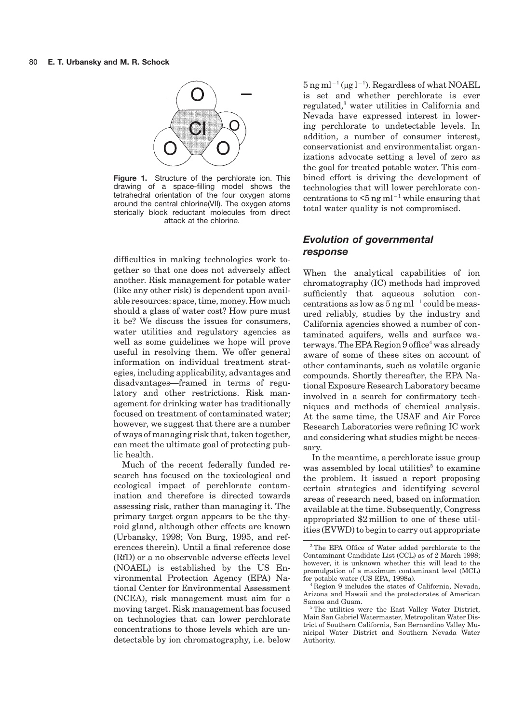

drawing of a space-filling model shows the technologies that will lower perchlorate contetrahedral orientation of the four oxygen atoms around the central chlorine(VII). The oxygen atoms sterically block reductant molecul attack at the chlorine.

*response* difficulties in making technologies work together so that one does not adversely affect<br>another. Risk management for potable water<br>(like any other risk) is dependent upon avail-<br>able resources: space, time, money. How much<br>should a glass of water cost? How pure mu should a glass of water cost? How pure must<br>it be? We discuss the issues for consumers,<br>water utilities and regulatory agencies as<br>well as some guidelines we hope will prove<br>useful in resolving them. We offer general aware information on individual treatment strat- other contaminants, such as volatile organic egies, including applicability, advantages and compounds. Shortly thereafter, the EPA Na- disadvantages—framed in terms of regu- tional Exposure Research Laboratory became latory and other restrictions. Risk man- involved in a search for confirmatory tech- agement for drinking water has traditionally niques and methods of chemical analysis. focused on treatment of contaminated water; At the same time, the USAF and Air Force however, we suggest that there are a number Research Laboratories were refining IC work of ways of managing risk that, taken together, and considering what studies might be neces- can meet the ultimate goal of protecting pub- sary. lic health. In the meantime, a perchlorate issue group Much of the recent federally funded re- was assembled by local utilities5 to examine

search has focused on the toxicological and<br>ecological impact of perchlorate contam-<br>ination and therefore is directed towards<br>assessing risk, rather than managing it. The<br>primary target organ appears to be the thy-<br>roid g erences therein). Until a final reference dose  $\frac{3 \text{ The EPA Office of Water added perchlorate to the (RfD) or a no observable adverse effects level}$  Contaminant Candidate List (CCL) as of 2 March 1998; (RfD) or a no observable adverse effects level<br>(NOAEL) is established by the US Enchanging the wever, it is unknown whether this will lead to the<br>vironmental Protection Agency (EPA) National for potable water (US EPA, 1998 tional Center for Environmental Assessment<br>
(NCEA), risk management must aim for a<br>
moving target. Risk management has focused<br>
<sup>5</sup>The utilities were the East Valley Water District, moving target. Risk management has focused  $\frac{5 \text{The utilities were the East Valley Water District}}{1 \text{ an technology network}}$  Main San Gabriel Watermaster, Metropolitan Water District, on technologies that can lower perchlorate Main San Gabriel Watermaster, Metropolitan Water Disconcentrations to those levels which are un-<br>concentrations to those levels which are un-<br>nicipal Water District and Southern N detectable by ion chromatography, i.e. below Authority.

 $5$  ng ml $^{-1}$  (µg l $^{-1}$ ). Regardless of what NOAEL is set and whether perchlorate is ever regulated,<sup>3</sup> water utilities in California and Nevada have expressed interest in lowering perchlorate to undetectable levels. In addition, a number of consumer interest, conservationist and environmentalist organizations advocate setting a level of zero as the goal for treated potable water. This com-Figure 1. Structure of the perchlorate ion. This bined effort is driving the development of

## *Evolution of governmental*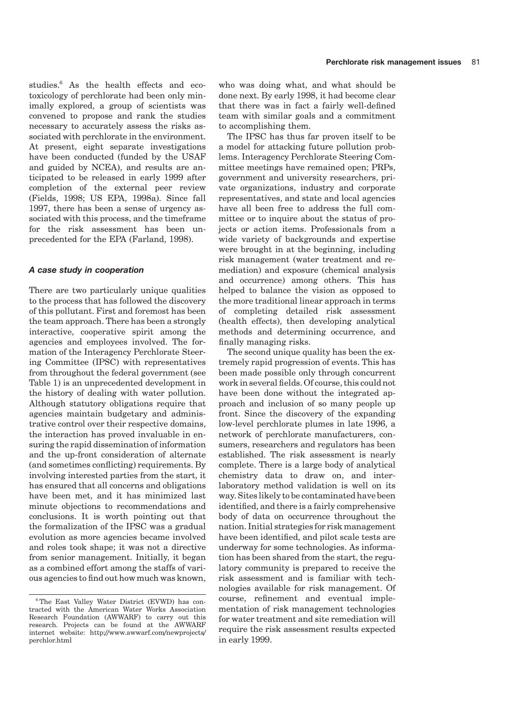studies.<sup>6</sup> As the health effects and eco- who was doing what, and what should be toxicology of perchlorate had been only min- done next. By early 1998, it had become clear imally explored, a group of scientists was that there was in fact a fairly well-defined convened to propose and rank the studies team with similar goals and a commitment necessary to accurately assess the risks as- to accomplishing them. sociated with perchlorate in the environment. The IPSC has thus far proven itself to be At present, eight separate investigations a model for attacking future pollution probhave been conducted (funded by the USAF lems. Interagency Perchlorate Steering Comand guided by NCEA), and results are an- mittee meetings have remained open; PRPs, ticipated to be released in early 1999 after government and university researchers, pricompletion of the external peer review vate organizations, industry and corporate [\(Fields, 1998](#page-15-0); [US EPA, 1998a\)](#page-16-0). Since fall representatives, and state and local agencies 1997, there has been a sense of urgency as- have all been free to address the full comsociated with this process, and the timeframe mittee or to inquire about the status of profor the risk assessment has been un- jects or action items. Professionals from a

to the process that has followed the discovery the more traditional linear approach in terms of this pollutant. First and foremost has been of completing detailed risk assessment the team approach. There has been a strongly (health effects), then developing analytical interactive, cooperative spirit among the methods and determining occurrence, and agencies and employees involved. The for- finally managing risks. mation of the Interagency Perchlorate Steer- The second unique quality has been the exing Committee (IPSC) with representatives tremely rapid progression of events. This has from throughout the federal government (see been made possible only through concurrent Table 1) is an unprecedented development in work in several fields. Of course, this could not the history of dealing with water pollution. have been done without the integrated ap-Although statutory obligations require that proach and inclusion of so many people up agencies maintain budgetary and adminis- front. Since the discovery of the expanding trative control over their respective domains, low-level perchlorate plumes in late 1996, a the interaction has proved invaluable in en- network of perchlorate manufacturers, consuring the rapid dissemination of information sumers, researchers and regulators has been and the up-front consideration of alternate established. The risk assessment is nearly (and sometimes conflicting) requirements. By complete. There is a large body of analytical involving interested parties from the start, it chemistry data to draw on, and interhas ensured that all concerns and obligations laboratory method validation is well on its have been met, and it has minimized last way. Sites likely to be contaminated have been minute objections to recommendations and identified, and there is a fairly comprehensive conclusions. It is worth pointing out that body of data on occurrence throughout the the formalization of the IPSC was a gradual nation. Initial strategies for risk management evolution as more agencies became involved have been identified, and pilot scale tests are and roles took shape; it was not a directive underway for some technologies. As informafrom senior management. Initially, it began tion has been shared from the start, the reguas a combined effort among the staffs of vari- latory community is prepared to receive the ous agencies to find out how much was known, risk assessment and is familiar with tech-

precedented for the EPA [\(Farland, 1998\)](#page-15-0). wide variety of backgrounds and expertise were brought in at the beginning, including risk management (water treatment and re-*A case study in cooperation* mediation) and exposure (chemical analysis and occurrence) among others. This has There are two particularly unique qualities helped to balance the vision as opposed to

nologies available for risk management. Of  $6$ The East Valley Water District (EVWD) has con-<br>acted with the American Water Works Association mentation of risk management technologies Research Foundation (AWWARF) to carry out this for water treatment and site remediation will research. Projects can be found at the AWWARF internet website: http://www.awwarf.com/newprojects/ require the risk assessment re

tracted with the American Water Works Association<br>Research Foundation (AWWARF) to carry out this perchlor.html in early 1999.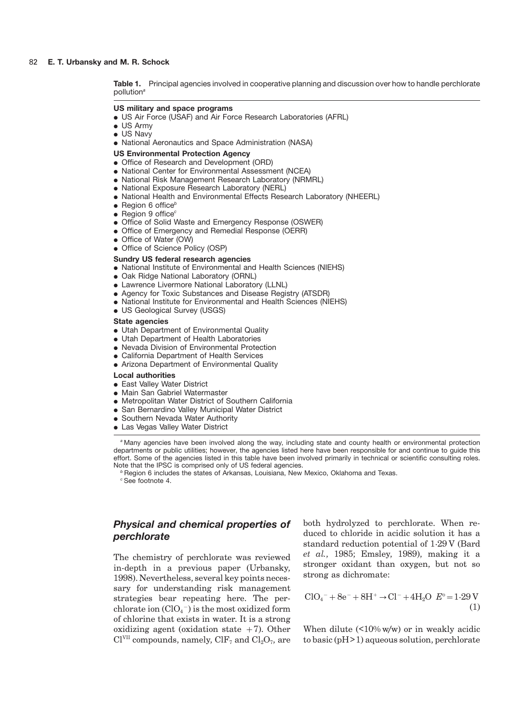### 82 **E. T. Urbansky and M. R. Schock**

**Table 1.** Principal agencies involved in cooperative planning and discussion over how to handle perchlorate pollution*<sup>a</sup>*

### **US military and space programs**

- US Air Force (USAF) and Air Force Research Laboratories (AFRL)
- US Army
- US Navy
- National Aeronautics and Space Administration (NASA)

### **US Environmental Protection Agency**

- Office of Research and Development (ORD)
- National Center for Environmental Assessment (NCEA)
- National Risk Management Research Laboratory (NRMRL)
- National Exposure Research Laboratory (NERL)
- National Health and Environmental Effects Research Laboratory (NHEERL)
- Region 6 office*<sup>b</sup>*
- Region 9 office*<sup>c</sup>*
- Office of Solid Waste and Emergency Response (OSWER)
- Office of Emergency and Remedial Response (OERR)
- Office of Water (OW)
- Office of Science Policy (OSP)

### **Sundry US federal research agencies**

- National Institute of Environmental and Health Sciences (NIEHS)
- Oak Ridge National Laboratory (ORNL)
- Lawrence Livermore National Laboratory (LLNL)
- Agency for Toxic Substances and Disease Registry (ATSDR)
- National Institute for Environmental and Health Sciences (NIEHS)
- US Geological Survey (USGS)

### **State agencies**

- Utah Department of Environmental Quality
- Utah Department of Health Laboratories
- Nevada Division of Environmental Protection
- California Department of Health Services
- Arizona Department of Environmental Quality

### **Local authorities**

- East Valley Water District
- Main San Gabriel Watermaster
- Metropolitan Water District of Southern California
- San Bernardino Valley Municipal Water District
- Southern Nevada Water Authority
- Las Vegas Valley Water District

*<sup>a</sup>* Many agencies have been involved along the way, including state and county health or environmental protection departments or public utilities; however, the agencies listed here have been responsible for and continue to guide this effort. Some of the agencies listed in this table have been involved primarily in technical or scientific consulting roles. Note that the IPSC is comprised only of US federal agencies.

*<sup>b</sup>* Region 6 includes the states of Arkansas, Louisiana, New Mexico, Oklahoma and Texas.

*<sup>c</sup>* See footnote 4.

sary for understanding risk management strategies bear repeating here. The per- $\text{chlorate ion (ClO}_4^-) \text{ is the most oxidized form} \tag{1}$ of chlorine that exists in water. It is a strong oxidizing agent (oxidation state  $+7$ ). Other When dilute (<10% w/w) or in weakly acidic  $Cl<sup>VII</sup>$  compounds, namely,  $ClF<sub>7</sub>$  and  $Cl<sub>2</sub>O<sub>7</sub>$ , are to basic (pH>1) aqueous solution, perchlorate

**Physical and chemical properties of** both hydrolyzed to perchlorate. When re-<br>nerchlorate **properties**  $\frac{1}{2}$  both hydrolyzed to enterpretence in active solution it has a **perchlorate** *perchlorate perchlorate perchlorate perchlorate perchlorate perchlorate perchlorate perchlorate perchlorate perchlorate perchlorate perchlorate perchlorate* The chemistry of perchlorate was reviewed  $\frac{et \ al.}{}$ , 1985; [Emsley, 1989\)](#page-15-0), making it a in-depth in a previous paper [\(Urbansky,](#page-16-0) stronger oxidant than oxygen, but not so 1998). Nevertheless, several key points necessition

$$
ClO4- + 8e- + 8H+ \to Cl- + 4H2O Eo = 1.29 V
$$
\n(1)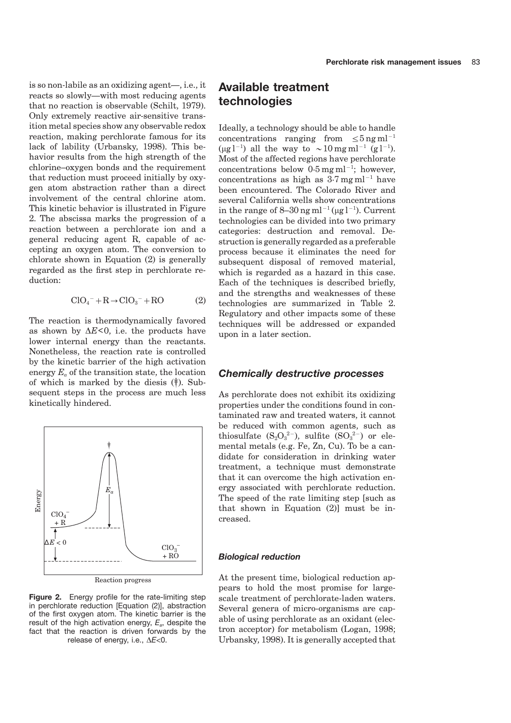is so non-labile as an oxidizing agent—, i.e., it **Available treatment** reacts so slowly—with most reducing agents **technologies** that no reaction is observable [\(Schilt, 1979\)](#page-15-0). Only extremely reactive air-sensitive transition metal species show any observable redox Ideally, a technology should be able to handle<br>reaction, making perchlorate famous for its concentrations ranging from  $\leq 5 \text{ ns m}^{-1}$ lack of lability [\(Urbansky, 1998\)](#page-16-0). This be-<br>havior results from the high strength of the havior results from the high strength of the Most of the affected regions have perchlorate chlorine-oxygen bonds and the requirement concentrations below  $0.5 \text{ m/s m}^{-1}$ , however chlorine–oxygen bonds and the requirement concentrations below 0.5 mg ml<sup>-1</sup>; however, that reduction must proceed initially by oxy-<br>gen atom abstraction rather than a direct been encountered. The Colorado Biyer and gen atom abstraction rather than a direct been encountered. The Colorado River and<br>involvement of the central chlorine atom. soveral California wells show concentrations This kinetic behavior is illustrated in Figure 2. The abscissa marks the progression of a 2. The abscissa marks the progression of a technologies can be divided into two primary reaction between a perchlorate ion and a categories: destruction and removal Dereaction between a perchlorate ion and a categories: destruction and removal. De-<br>general reducing agent R, capable of ac-<br>struction is generally regarded as a preferable

$$
ClO4- + R \rightarrow ClO3- + RO \qquad (2)
$$

Nonetheless, the reaction rate is controlled by the kinetic barrier of the high activation energy *Ea* of the transition state, the location *Chemically destructive processes* of which is marked by the diesis  $(\dagger)$ . Sub-<br>sequent steps in the process are much less sequent steps in the process are much less As perchlorate does not exhibit its oxidizing<br>kinetically hindered.



concentrations ranging from  $\leq 5$  ng ml<sup>-1</sup> ) all the way to  $\sim 10 \,\mathrm{mg\,ml^{-1}}$  (g l<sup>-1</sup>). several California wells show concentrations in the range of 8-30 ng ml<sup>-1</sup>( $\mu$ g l<sup>-1</sup>). Current general reducing agent R, capable of activation is generally regarded as a preferable<br>cepting an oxygen atom. The conversion to<br>chlorate shown in Equation (2) is generally<br>regarded as the first step in perchlorate re-<br>duct and the strengths and weaknesses of these technologies are summarized in Table 2. The reaction is thermodynamically favored<br>as shown by  $\Delta E$ <0, i.e. the products have<br>lower internal energy than the reactants.

properties under the conditions found in contaminated raw and treated waters, it cannot be reduced with common agents, such as thiosulfate  $(S_2O_3^{2-})$ , sulfite  $(SO_3^{2-})$  or elemental metals (e.g. Fe, Zn, Cu). To be a candidate for consideration in drinking water treatment, a technique must demonstrate that it can overcome the high activation energy associated with perchlorate reduction. The speed of the rate limiting step [such as that shown in Equation (2)] must be increased.

### *Biological reduction*

Reaction progress At the present time, biological reduction appears to hold the most promise for large-**Figure 2.** Energy profile for the rate-limiting step<br>in perchlorate-laden waters.<br>in perchlorate reduction [Equation (2)], abstraction<br>of the first oxygen atom. The kinetic barrier is the<br>result of the high activation en release of energy, i.e.,  $\Delta E < 0$ . [Urbansky, 1998\)](#page-16-0). It is generally accepted that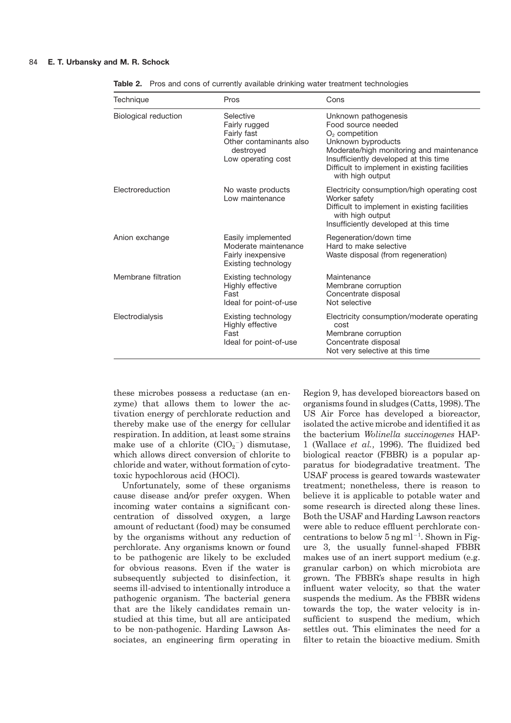### 84 **E. T. Urbansky and M. R. Schock**

| Technique                   | Pros                                                                                                    | Cons                                                                                                                                                                                                                                           |
|-----------------------------|---------------------------------------------------------------------------------------------------------|------------------------------------------------------------------------------------------------------------------------------------------------------------------------------------------------------------------------------------------------|
| <b>Biological reduction</b> | Selective<br>Fairly rugged<br>Fairly fast<br>Other contaminants also<br>destroyed<br>Low operating cost | Unknown pathogenesis<br>Food source needed<br>$O2$ competition<br>Unknown byproducts<br>Moderate/high monitoring and maintenance<br>Insufficiently developed at this time<br>Difficult to implement in existing facilities<br>with high output |
| Electroreduction            | No waste products<br>Low maintenance                                                                    | Electricity consumption/high operating cost<br>Worker safety<br>Difficult to implement in existing facilities<br>with high output<br>Insufficiently developed at this time                                                                     |
| Anion exchange              | Easily implemented<br>Moderate maintenance<br>Fairly inexpensive<br>Existing technology                 | Regeneration/down time<br>Hard to make selective<br>Waste disposal (from regeneration)                                                                                                                                                         |
| Membrane filtration         | Existing technology<br>Highly effective<br>Fast<br>Ideal for point-of-use                               | Maintenance<br>Membrane corruption<br>Concentrate disposal<br>Not selective                                                                                                                                                                    |
| Electrodialysis             | Existing technology<br>Highly effective<br>Fast<br>Ideal for point-of-use                               | Electricity consumption/moderate operating<br>cost<br>Membrane corruption<br>Concentrate disposal<br>Not very selective at this time                                                                                                           |

**Table 2.** Pros and cons of currently available drinking water treatment technologies

zyme) that allows them to lower the ac- organisms found in sludges [\(Catts, 1998\)](#page-15-0). The tivation energy of perchlorate reduction and US Air Force has developed a bioreactor, thereby make use of the energy for cellular isolated the active microbe and identified it as respiration. In addition, at least some strains the bacterium *Wolinella succinogenes* HAPmake use of a chlorite  $(CIO_2^-)$  dismutase, 1 [\(Wallace](#page-16-0) *et al.*, 1996). The fluidized bed which allows direct conversion of chlorite to biological reactor (FBBR) is a popular apchloride and water, without formation of cyto- paratus for biodegradative treatment. The toxic hypochlorous acid (HOCl). USAF process is geared towards wastewater

cause disease and/or prefer oxygen. When believe it is applicable to potable water and incoming water contains a significant con- some research is directed along these lines. centration of dissolved oxygen, a large Both the USAF and Harding Lawson reactors amount of reductant (food) may be consumed were able to reduce effluent perchlorate conby the organisms without any reduction of perchlorate. Any organisms known or found ure 3, the usually funnel-shaped FBBR to be pathogenic are likely to be excluded makes use of an inert support medium (e.g. for obvious reasons. Even if the water is granular carbon) on which microbiota are subsequently subjected to disinfection, it grown. The FBBR's shape results in high seems ill-advised to intentionally introduce a influent water velocity, so that the water pathogenic organism. The bacterial genera suspends the medium. As the FBBR widens that are the likely candidates remain un- towards the top, the water velocity is instudied at this time, but all are anticipated sufficient to suspend the medium, which to be non-pathogenic. Harding Lawson As- settles out. This eliminates the need for a sociates, an engineering firm operating in filter to retain the bioactive medium. [Smith](#page-15-0)

these microbes possess a reductase (an en- Region 9, has developed bioreactors based on Unfortunately, some of these organisms treatment; nonetheless, there is reason to centrations to below  $5 \text{ ng ml}^{-1}$ . Shown in Fig-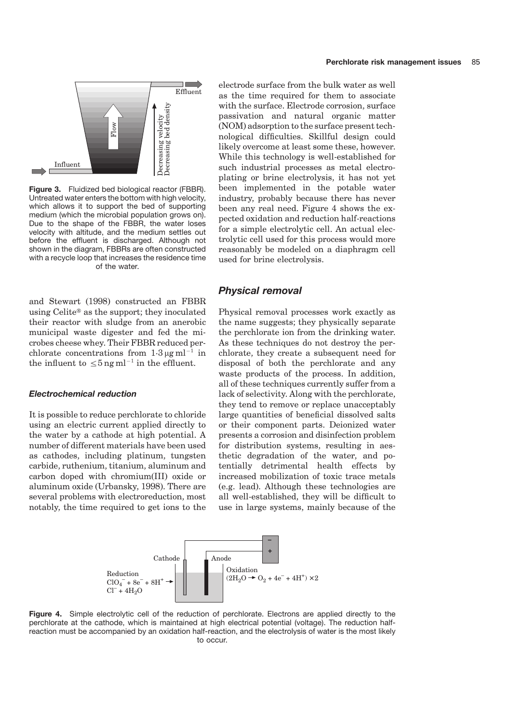

Untreated water enters the bottom with high velocity, industry, probably because there has never which allows it to support the bed of supporting been any real need. Figure 4 shows the exwhich allows it to support the bed of supporting<br>medium (which the microbial population grows on).<br>Due to the shape of the FBBR, the water loses<br>velocity with altitude, and the medium settles out<br>before the effluent is dis before the effluent is discharged. Although not shown in the diagram, FBBRs are often constructed with a recycle loop that increases the residence time used for brine electrolysis.<br>
of the water.

and Stewart (1998) constructed an FBBR using Celite® as the support; they inoculated Physical removal processes work exactly as

electrode surface from the bulk water as well as the time required for them to associate with the surface. Electrode corrosion, surface passivation and natural organic matter (NOM) adsorption to the surface present technological difficulties. Skillful design could likely overcome at least some these, however. While this technology is well-established for such industrial processes as metal electro-<br>
From the surface present technological difficulties. Skillful design could<br>
likely overcome at least some these, however.<br>
While this technology is well-established for<br>
such in plating or brine electrolysis, it has not yet **Figure 3.** Fluidized bed biological reactor (FBBR). been implemented in the potable water Untreated water enters the bottom with high velocity, industry, probably because there has never reasonably be modeled on a diaphragm cell

### *Physical removal*

their reactor with sludge from an anerobic the name suggests; they physically separate municipal waste digester and fed the mi- the perchlorate ion from the drinking water. crobes cheese whey. Their FBBR reduced per- As these techniques do not destroy the perchlorate concentrations from  $1.3 \mu g \text{m}^{-1}$  in chlorate, they create a subsequent need for the influent to  $\leq 5$  ng ml<sup>-1</sup> in the effluent. disposal of both the perchlorate and any waste products of the process. In addition, all of these techniques currently suffer from a *Electrochemical reduction* lack of selectivity. Along with the perchlorate, they tend to remove or replace unacceptably It is possible to reduce perchlorate to chloride large quantities of beneficial dissolved salts using an electric current applied directly to or their component parts. Deionized water the water by a cathode at high potential. A presents a corrosion and disinfection problem number of different materials have been used for distribution systems, resulting in aesas cathodes, including platinum, tungsten thetic degradation of the water, and pocarbide, ruthenium, titanium, aluminum and tentially detrimental health effects by carbon doped with chromium(III) oxide or increased mobilization of toxic trace metals [aluminum oxide \(Urbansky, 1998\)](#page-16-0). There are (e.g. lead). Although these technologies are several problems with electroreduction, most all well-established, they will be difficult to notably, the time required to get ions to the use in large systems, mainly because of the



**Figure 4.** Simple electrolytic cell of the reduction of perchlorate. Electrons are applied directly to the perchlorate at the cathode, which is maintained at high electrical potential (voltage). The reduction halfreaction must be accompanied by an oxidation half-reaction, and the electrolysis of water is the most likely to occur.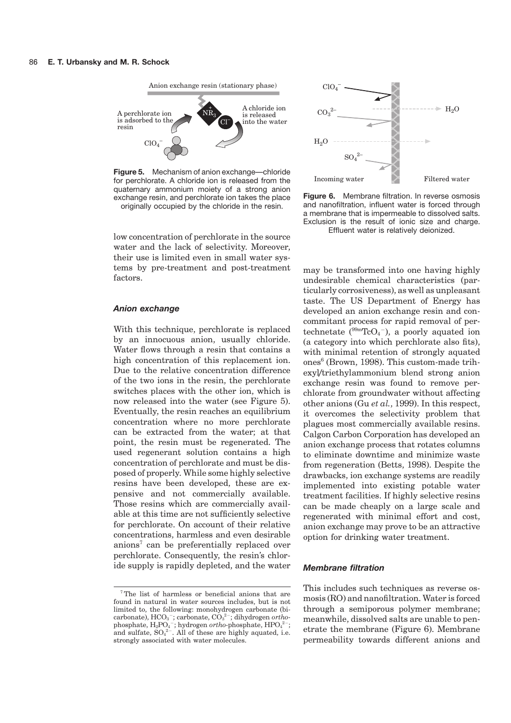

**Figure 5.** Mechanism of anion exchange—chloride for perchlorate. A chloride ion is released from the quaternary ammonium moiety of a strong anion exchange resin, and perchlorate ion takes the place **Figure 6.** Membrane filtration. In reverse osmosis originally occupied by the chloride in the resin and nanofiltration, influent water is forced through originally occupied by the chloride in the resin.

Effluent water is relatively deionized. low concentration of perchlorate in the source water and the lack of selectivity. Moreover, their use is limited even in small water systems by pre-treatment and post-treatment may be transformed into one having highly factors.

With this technique, perchlorate is replaced by an innocuous anion, usually chloride. concentrations, harmless and even desirable option for drinking water treatment. anions7 can be preferentially replaced over perchlorate. Consequently, the resin's chloride supply is rapidly depleted, and the water *Membrane filtration*



a membrane that is impermeable to dissolved salts. Exclusion is the result of ionic size and charge.

undesirable chemical characteristics (particularly corrosiveness), as well as unpleasant taste. The US Department of Energy has **Anion exchange** developed an anion exchange resin and concommitant process for rapid removal of pertechnetate  $(^{99m}TcO_4^-)$ , a poorly aquated ion by an innocuous anion, usually chloride. (a category into which perchlorate also fits),<br>Water flows through a resin that contains a with minimal retention of strongly aquated Water flows through a resin that contains a with minimal retention of strongly aquated high concentration of this replacement ion.  $_{\text{ones}}$ <sup>6</sup> (Brown 1998) This custom-made trib $ones<sup>6</sup>$  [\(Brown, 1998\)](#page-15-0). This custom-made trih-Due to the relative concentration difference exyl/triethylammonium blend strong anion of the two ions in the resin, the perchlorate exchange resin was found to remove perof the two ions in the resin, the perchlorate exchange resin was found to remove per-<br>switches places with the other ion, which is chlorate from groundwater without affecting switches places with the other ion, which is chlorate from groundwater without affecting now released into the water (see Figure 5). Other anions (Gu *et al.*, 1999). In this respect, Eventually, the resin reaches an equil Eventually, the resin reaches an equilibrium it overcomes the selectivity problem that concentration where no more perchlorate plagues most commercially available resins concentration where no more perchlorate plagues most commercially available resins.<br>can be extracted from the water; at that Calgon Carbon Corporation has developed an can be extracted from the water; at that Calgon Carbon Corporation has developed an point, the resin must be regenerated. The anion exchange process that rotates columns point, the resin must be regenerated. The anion exchange process that rotates columns used regenerant solution contains a high to eliminate downtime and minimize waste used regenerant solution contains a high to eliminate downtime and minimize waste<br>concentration of perchlorate and must be dis-<br>from regeneration (Betts, 1998). Despite the concentration of perchlorate and must be dis-<br>
from regeneration [\(Betts, 1998](#page-15-0)). Despite the<br>
posed of properly. While some highly selective<br>
drawbacks, ion exchange systems are readily posed of properly. While some highly selective drawbacks, ion exchange systems are readily resins have been developed, these are ex-<br>implemented into existing potable water resins have been developed, these are ex-<br>pensive and not commercially available. treatment facilities If highly selective resing pensive and not commercially available. treatment facilities. If highly selective resins<br>Those resins which are commercially avail-<br>can be made cheaply on a large scale and Those resins which are commercially avail-<br>able at this time are not sufficiently selective regenerated with minimal effort, and cost able at this time are not sufficiently selective regenerated with minimal effort and cost, for perchlorate. On account of their relative anion exchange may prove to be an attractive anion exchange may prove to be an attractive

This includes such techniques as reverse os-<br>
found in natural in water sources includes, but is not<br>
limited to, the following: monohydrogen carbonate (bi-<br>
through a semiporous polymer membrane; strongly associated with water molecules. permeability towards different anions and

limited to, the following: monohydrogen carbonate (bi $carbonate$ ,  $HCO<sub>3</sub><sup>-</sup>$ ; carbonate,  $CO<sub>3</sub>$ carbonate), HCO<sub>3</sub><sup>-</sup>; carbonate, CO<sub>3</sub><sup>2</sup>-; dihydrogen *ortho*-<br>phosphate, H<sub>2</sub>PO<sub>4</sub><sup>-</sup>; hydrogen *ortho*-phosphate, HPO<sub>4</sub><sup>2</sup>-;<br>and sulfate, SO<sub>4</sub><sup>2</sup>-. All of these are highly aquated, i.e. etrate the membrane (Figure 6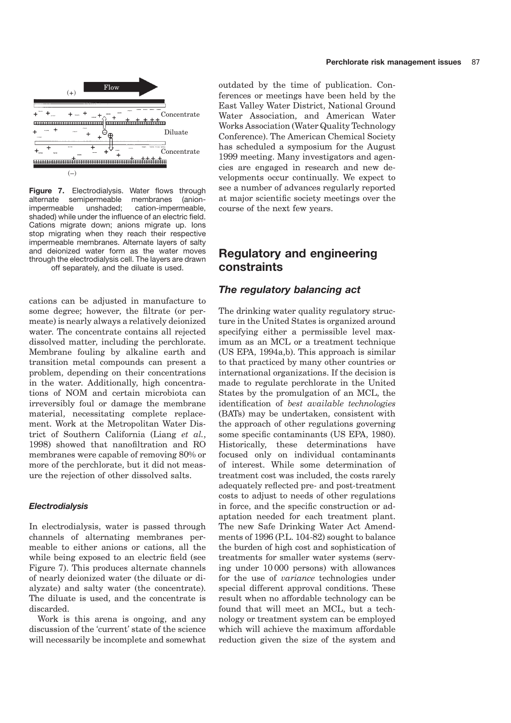

alternate semipermeable membranes (anion- at major scientific society meetings over the unshaded; cation-impermeable, course of the next few years. shaded) while under the influence of an electric field. Cations migrate down; anions migrate up. Ions stop migrating when they reach their respective impermeable membranes. Alternate layers of salty off separately, and the diluate is used.

cations can be adjusted in manufacture to some degree; however, the filtrate (or per- The drinking water quality regulatory strucmeate) is nearly always a relatively deionized ture in the United States is organized around water. The concentrate contains all rejected specifying either a permissible level maxdissolved matter, including the perchlorate. imum as an MCL or a treatment technique Membrane fouling by alkaline earth and [\(US EPA, 1994a,b\)](#page-16-0). This approach is similar transition metal compounds can present a to that practiced by many other countries or problem, depending on their concentrations international organizations. If the decision is in the water. Additionally, high concentra- made to regulate perchlorate in the United tions of NOM and certain microbiota can States by the promulgation of an MCL, the irreversibly foul or damage the membrane identification of *best available technologies* material, necessitating complete replace- (BATs) may be undertaken, consistent with ment. Work at the Metropolitan Water Dis- the approach of other regulations governing trict of Southern California (Liang *et al.*, some specific contaminants [\(US EPA, 1980\)](#page-16-0). 1998) showed that nanofiltration and RO Historically, these determinations have membranes were capable of removing 80% or focused only on individual contaminants more of the perchlorate, but it did not meas- of interest. While some determination of

channels of alternating membranes per- ments of 1996 (P.L. 104-82) sought to balance while being exposed to an electric field (see treatments for smaller water systems (serv-Figure 7). This produces alternate channels ing under 10 000 persons) with allowances of nearly deionized water (the diluate or di- for the use of *variance* technologies under alyzate) and salty water (the concentrate). special different approval conditions. These The diluate is used, and the concentrate is result when no affordable technology can be discarded. found that will meet an MCL, but a tech-

outdated by the time of publication. Conferences or meetings have been held by the East Valley Water District, National Ground Water Association, and American Water Works Association (Water Quality Technology Conference). The American Chemical Society has scheduled a symposium for the August 1999 meeting. Many investigators and agencies are engaged in research and new de velopments occur continually. We expect to Figure 7. Electrodialysis. Water flows through see a number of advances regularly reported

# and deionized water form as the water moves **Regulatory and engineering**<br>through the electrodialysis cell. The layers are drawn **Constraints** off separately, and the diluate is used. **Constraints**

### *The regulatory balancing act*

ure the rejection of other dissolved salts. treatment cost was included, the costs rarely adequately reflected pre- and post-treatment costs to adjust to needs of other regulations *Electrodialysis* in force, and the specific construction or adaptation needed for each treatment plant. In electrodialysis, water is passed through The new Safe Drinking Water Act Amendmeable to either anions or cations, all the the burden of high cost and sophistication of Work is this arena is ongoing, and any nology or treatment system can be employed discussion of the 'current' state of the science which will achieve the maximum affordable will necessarily be incomplete and somewhat reduction given the size of the system and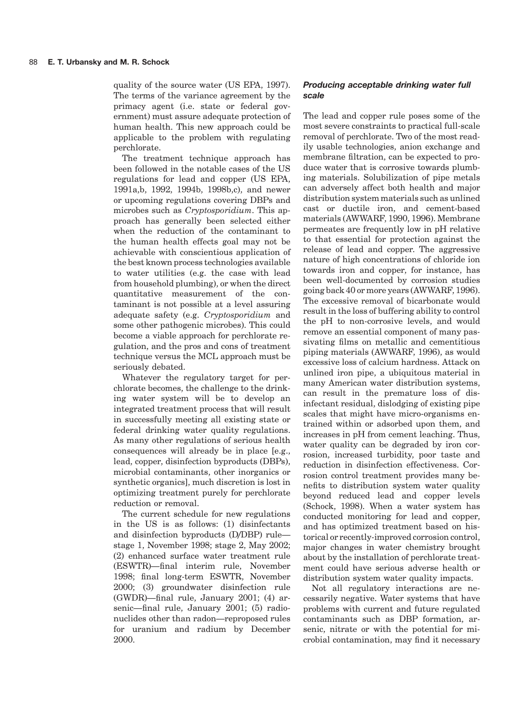quality of the source water [\(US EPA, 1997](#page-16-0)). *Producing acceptable drinking water full* The terms of the variance agreement by the *scale* primacy agent (i.e. state or federal government) must assure adequate protection of The lead and copper rule poses some of the human health. This new approach could be most severe constraints to practical full-scale applicable to the problem with regulating removal of perchlorate. Two of the most read-

been followed in the notable cases of the US duce water that is corrosive towards plumb-<br>regulations for lead and copper (US EPA ing materials. Solubilization of pipe metals [regula](#page-16-0)tions for lead and copper [\(US EPA,](#page-16-0) ing materials. Solubilization of pipe metals<br>1991a b 1992–1994b 1998b c) and newer can adversely affect both health and major 1991a[,b, 1992, 1994b, 1998b,c\)](#page-16-0), and newer can adversely affect both health and major<br>or uncoming regulations covering DBPs and distribution system materials such as unlined or upcoming regulations covering DBPs and distribution system materials such as unlined<br>microbes such as Cryptosporidium This applies and controlled iron, and cement-based microbes such as *Cryptosporidium*. This ap-<br>near or ductile iron, and cement-based<br>neareh has generally been selected either materials (AWWARF, 1990, 1996). Membrane proach has generally been selected either materials (AWWARF, 1990, 1996). Membrane<br>when the reduction of the contaminant to permeates are frequently low in pH relative when the reduction of the contaminant to permeates are frequently low in pH relative<br>the human health effects goal may not be to that essential for protection against the the human health effects goal may not be<br>achievable with conscientious application of the sease of lead and copper. The aggressive<br>the best known process technologies available<br>to water utilities (e.g. the case with lead<br>f

and disinfection byproducts (D/DBP) rule— torical or recently-improved corrosion control, stage 1, November 1998; stage 2, May 2002; major changes in water chemistry brought (2) enhanced surface water treatment rule about by the installation of perchlorate treat-<br>(ESWTR)—final interim rule. November ment could have serious adverse health or 1998; final long-term ESWTR, November distribution system water quality impacts. 2000; (3) groundwater disinfection rule Not all regulatory interactions are ne- (GWDR)—final rule, January 2001; (4) ar- cessarily negative. Water systems that have senic—final rule, January 2001; (5) radio- problems with current and future regulated nuclides other than radon—reproposed rules contaminants such as DBP formation, arfor uranium and radium by December senic, nitrate or with the potential for mi-

perchlorate. ily usable technologies, anion exchange and The treatment technique approach has membrane filtration, can be expected to pro-<br>een followed in the notable cases of the US duce water that is corrosive towards plumbsome other pathogenic microbes). This could<br>become a viable approach for perchlorate remove an essential component of many pas-<br>gulation, and the pros and cons of treatment sivating films on metallic and cenentitious<br>tech microbial contaminants, other inorganics or<br>synthetic organics], much discretion is lost in<br>optimizing treatment purely for perchlorate<br>reduction or removal.<br>The current schedule for new regulations<br>in the US is as follows ment could have serious adverse health or

2000. crobial contamination, may find it necessary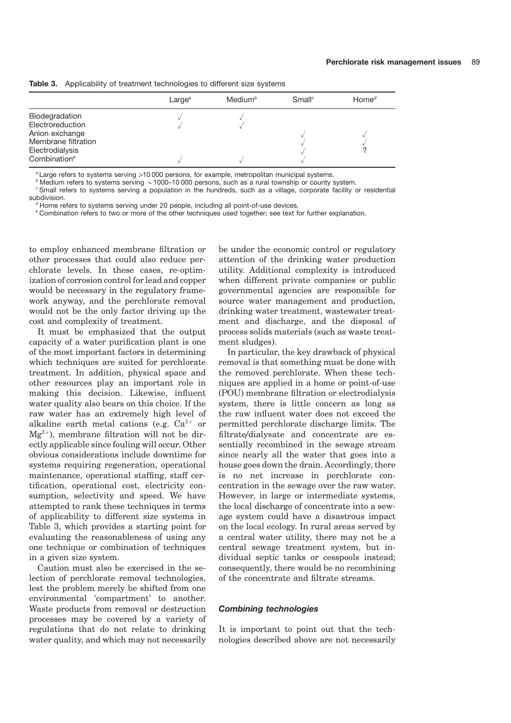|  |  | Table 3. Applicability of treatment technologies to different size systems |  |
|--|--|----------------------------------------------------------------------------|--|
|--|--|----------------------------------------------------------------------------|--|

|                                                          | Large <sup>a</sup> | Medium <sup>b</sup> | Small <sup>c</sup> | Home <sup>d</sup> |
|----------------------------------------------------------|--------------------|---------------------|--------------------|-------------------|
| Biodegradation<br>Electroreduction                       |                    |                     |                    |                   |
| Anion exchange<br>Membrane filtration<br>Electrodialysis |                    |                     |                    |                   |
| Combination <sup>e</sup>                                 |                    |                     |                    |                   |

*<sup>a</sup>* Large refers to systems serving >10 000 persons, for example, metropolitan municipal systems.

*b* Medium refers to systems serving ~1000-10 000 persons, such as a rural township or county system.

*<sup>c</sup>* Small refers to systems serving a population in the hundreds, such as a village, corporate facility or residential subdivision.

*<sup>d</sup>* Home refers to systems serving under 20 people, including all point-of-use devices.

*<sup>e</sup>* Combination refers to two or more of the other techniques used together; see text for further explanation.

capacity of a water purification plant is one ment sludges). of the most important factors in determining In particular, the key drawback of physical which techniques are suited for perchlorate removal is that something must be done with treatment. In addition, physical space and the removed perchlorate. When these techother resources play an important role in niques are applied in a home or point-of-use making this decision. Likewise, influent (POU) membrane filtration or electrodialysis water quality also bears on this choice. If the system, there is little concern as long as raw water has an extremely high level of the raw influent water does not exceed the alkaline earth metal cations (e.g.  $Ca^{2+}$  or permitted perchlorate discharge limits. The  $Mg^{2+}$ ), membrane filtration will not be dir- filtrate/dialysate and concentrate are esectly applicable since fouling will occur. Other sentially recombined in the sewage stream obvious considerations include downtime for since nearly all the water that goes into a systems requiring regeneration, operational house goes down the drain. Accordingly, there maintenance, operational staffing, staff cer- is no net increase in perchlorate contification, operational cost, electricity con- centration in the sewage over the raw water. sumption, selectivity and speed. We have However, in large or intermediate systems, attempted to rank these techniques in terms the local discharge of concentrate into a sewof applicability to different size systems in age system could have a disastrous impact Table 3, which provides a starting point for on the local ecology. In rural areas served by evaluating the reasonableness of using any a central water utility, there may not be a one technique or combination of techniques central sewage treatment system, but inin a given size system. dividual septic tanks or cesspools instead;

lection of perchlorate removal technologies, of the concentrate and filtrate streams. lest the problem merely be shifted from one environmental 'compartment' to another. Waste products from removal or destruction *Combining technologies* processes may be covered by a variety of regulations that do not relate to drinking It is important to point out that the techwater quality, and which may not necessarily nologies described above are not necessarily

to employ enhanced membrane filtration or be under the economic control or regulatory other processes that could also reduce per- attention of the drinking water production chlorate levels. In these cases, re-optim- utility. Additional complexity is introduced ization of corrosion control for lead and copper when different private companies or public would be necessary in the regulatory frame- governmental agencies are responsible for work anyway, and the perchlorate removal source water management and production, would not be the only factor driving up the drinking water treatment, wastewater treatcost and complexity of treatment. ment and discharge, and the disposal of It must be emphasized that the output process solids materials (such as waste treat-

Caution must also be exercised in the se- consequently, there would be no recombining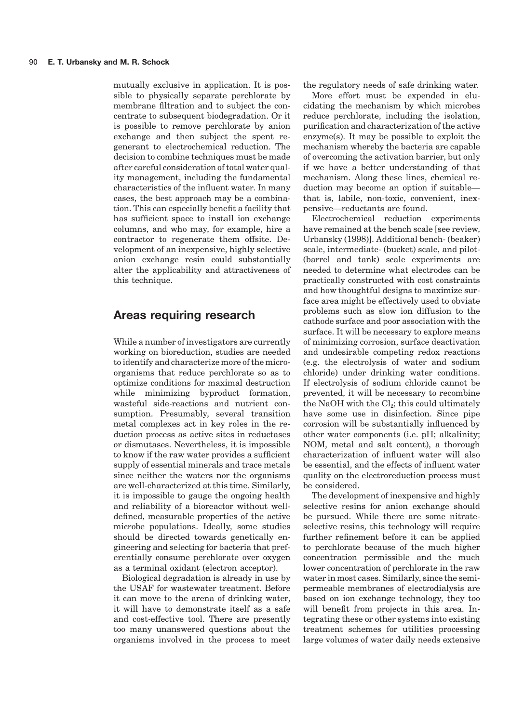mutually exclusive in application. It is pos- the regulatory needs of safe drinking water. sible to physically separate perchlorate by More effort must be expended in elumembrane filtration and to subject the con- cidating the mechanism by which microbes centrate to subsequent biodegradation. Or it reduce perchlorate, including the isolation, is possible to remove perchlorate by anion purification and characterization of the active exchange and then subject the spent re- enzyme(s). It may be possible to exploit the generant to electrochemical reduction. The mechanism whereby the bacteria are capable decision to combine techniques must be made of overcoming the activation barrier, but only after careful consideration of total water qual- if we have a better understanding of that ity management, including the fundamental mechanism. Along these lines, chemical recharacteristics of the influent water. In many duction may become an option if suitable cases, the best approach may be a combina- that is, labile, non-toxic, convenient, inextion. This can especially benefit a facility that pensive—reductants are found. has sufficient space to install ion exchange Electrochemical reduction experiments columns, and who may, for example, hire a have remained at the bench scale [see review, contractor to regenerate them offsite. De- [Urbansky \(1998\)\]](#page-16-0). Additional bench- (beaker) velopment of an inexpensive, highly selective scale, intermediate- (bucket) scale, and pilotanion exchange resin could substantially (barrel and tank) scale experiments are alter the applicability and attractiveness of needed to determine what electrodes can be

working on bioreduction, studies are needed and undesirable competing redox reactions to identify and characterize more of the micro- (e.g. the electrolysis of water and sodium organisms that reduce perchlorate so as to chloride) under drinking water conditions. optimize conditions for maximal destruction If electrolysis of sodium chloride cannot be while minimizing byproduct formation, prevented, it will be necessary to recombine wasteful side-reactions and nutrient con- the NaOH with the Cl<sub>2</sub>; this could ultimately sumption. Presumably, several transition have some use in disinfection. Since pipe metal complexes act in key roles in the re- corrosion will be substantially influenced by duction process as active sites in reductases other water components (i.e. pH; alkalinity; or dismutases. Nevertheless, it is impossible NOM, metal and salt content), a thorough to know if the raw water provides a sufficient characterization of influent water will also supply of essential minerals and trace metals be essential, and the effects of influent water since neither the waters nor the organisms quality on the electroreduction process must are well-characterized at this time. Similarly, be considered. it is impossible to gauge the ongoing health The development of inexpensive and highly and reliability of a bioreactor without well- selective resins for anion exchange should defined, measurable properties of the active be pursued. While there are some nitratemicrobe populations. Ideally, some studies selective resins, this technology will require should be directed towards genetically en- further refinement before it can be applied gineering and selecting for bacteria that pref- to perchlorate because of the much higher erentially consume perchlorate over oxygen concentration permissible and the much as a terminal oxidant (electron acceptor). lower concentration of perchlorate in the raw

the USAF for wastewater treatment. Before permeable membranes of electrodialysis are it can move to the arena of drinking water, based on ion exchange technology, they too it will have to demonstrate itself as a safe will benefit from projects in this area. Inand cost-effective tool. There are presently tegrating these or other systems into existing too many unanswered questions about the treatment schemes for utilities processing organisms involved in the process to meet large volumes of water daily needs extensive

this technique. practically constructed with cost constraints and how thoughtful designs to maximize surface area might be effectively used to obviate **Areas requiring research Conserved the cathode surface and poor association with the** surface. It will be necessary to explore means While a number of investigators are currently of minimizing corrosion, surface deactivation

Biological degradation is already in use by water in most cases. Similarly, since the semi-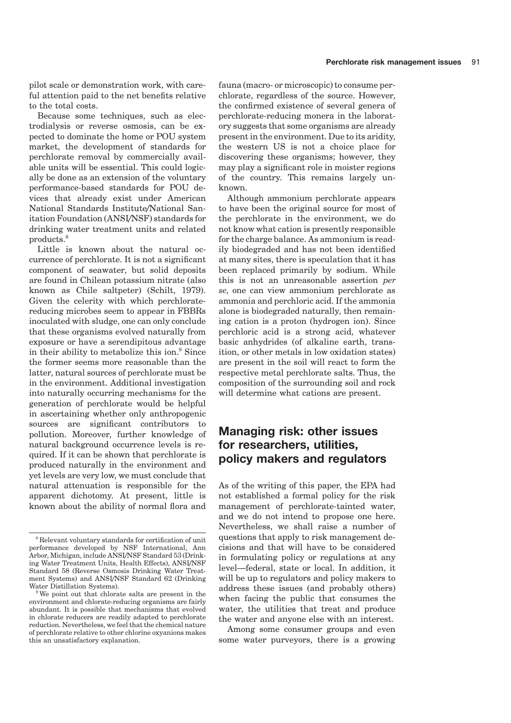pilot scale or demonstration work, with care- fauna (macro- or microscopic) to consume perful attention paid to the net benefits relative chlorate, regardless of the source. However, to the total costs. the confirmed existence of several genera of

trodialysis or reverse osmosis, can be ex- ory suggests that some organisms are already pected to dominate the home or POU system present in the environment. Due to its aridity, market, the development of standards for the western US is not a choice place for perchlorate removal by commercially avail- discovering these organisms; however, they able units will be essential. This could logic- may play a significant role in moister regions ally be done as an extension of the voluntary of the country. This remains largely unperformance-based standards for POU de- known. vices that already exist under American Although ammonium perchlorate appears National Standards Institute/National San- to have been the original source for most of itation Foundation (ANSI/NSF) standards for the perchlorate in the environment, we do drinking water treatment units and related not know what cation is presently responsible

currence of perchlorate. It is not a significant at many sites, there is speculation that it has component of seawater, but solid deposits been replaced primarily by sodium. While are found in Chilean potassium nitrate (also this is not an unreasonable assertion *per* known as Chile saltpeter) [\(Schilt, 1979\)](#page-15-0). *se*, one can view ammonium perchlorate as Given the celerity with which perchlorate- ammonia and perchloric acid. If the ammonia reducing microbes seem to appear in FBBRs alone is biodegraded naturally, then remaininoculated with sludge, one can only conclude ing cation is a proton (hydrogen ion). Since that these organisms evolved naturally from perchloric acid is a strong acid, whatever exposure or have a serendipitous advantage basic anhydrides (of alkaline earth, transin their ability to metabolize this ion.<sup>9</sup> Since ition, or other metals in low oxidation states) the former seems more reasonable than the are present in the soil will react to form the latter, natural sources of perchlorate must be respective metal perchlorate salts. Thus, the in the environment. Additional investigation composition of the surrounding soil and rock into naturally occurring mechanisms for the will determine what cations are present. generation of perchlorate would be helpful in ascertaining whether only anthropogenic sources are significant contributors to pollution. Moreover, further knowledge of **Managing risk: other issues** natural background occurrence levels is re-**for researchers, utilities,** quired. If it can be shown that perchlorate is **noticed** makers and roquile quired. If it can be shown that perchlorate is **policy makers and regulators** produced naturally in the environment and yet levels are very low, we must conclude that natural attenuation is responsible for the As of the writing of this paper, the EPA had apparent dichotomy. At present, little is not established a formal policy for the risk known about the ability of normal flora and management of perchlorate-tainted water,

Because some techniques, such as elec- perchlorate-reducing monera in the laborat-

products.<sup>8</sup> for the charge balance. As ammonium is read-Little is known about the natural oc- ily biodegraded and has not been identified

and we do not intend to propose one here. Nevertheless, we shall raise a number of <sup>8</sup> Relevant voluntary standards for certification of unit questions that apply to risk management de-<br>
erformance developed by NSF International, Ann cisions and that will have to be considered Water Distillation Systems). address these issues (and probably others)<br>
9 We point out that chlorate reducing organisms are fairly<br>
9 When facing the public that consumes the<br>
9 Abundant. It is possible that mechanisms th

performance developed by NSF International, Ann Arbor, Michigan, include ANSI/NSF Standard 53 (Drink-Arbor, Michigan, include ANSI/NSF Standard 53 (Drink-<br>in formulating policy or regulations at any<br>standard 58 (Reverse Osmosis Drinking Water Treat-<br>ment Systems) and ANSI/NSF Standard 62 (Drinking will be up to regulators ment Systems) and ANSI/NSF Standard 62 (Drinking will be up to regulators and policy makers to Water Distillation Systems).

abundant. It is possible that mechanisms that evolved in chlorate reducers are readily adapted to perchlorate in chlorate reducers are readily adapted to perchlorate the water and anyone else with an interest.<br>
reduction. Nevertheless, we feel that the chemical nature Among some consumer groups and even of perchlorate relative to other chlorine oxyanions makes this an unsatisfactory explanation. some water purveyors, there is a growing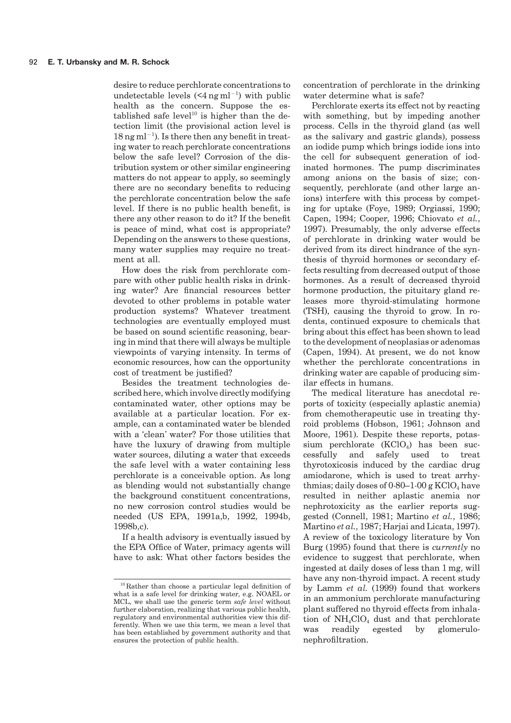desire to reduce perchlorate concentrations to concentration of perchlorate in the drinking undetectable levels  $(\leq 4 \text{ ng ml}^{-1})$  with public water determine what is safe? health as the concern. Suppose the es- Perchlorate exerts its effect not by reacting tablished safe level<sup>10</sup> is higher than the de- with something, but by impeding another tection limit (the provisional action level is process. Cells in the thyroid gland (as well  $18 \text{ ng ml}^{-1}$ ). Is there then any benefit in treat- as the salivary and gastric glands), possess ing water to reach perchlorate concentrations an iodide pump which brings iodide ions into below the safe level? Corrosion of the dis- the cell for subsequent generation of iodtribution system or other similar engineering inated hormones. The pump discriminates matters do not appear to apply, so seemingly among anions on the basis of size; conthere are no secondary benefits to reducing sequently, perchlorate (and other large anthe perchlorate concentration below the safe ions) interfere with this process by competlevel. If there is no public health benefit, is ing for uptake [\(Foye, 1989](#page-15-0); [Orgiassi, 1990;](#page-15-0) there any other reason to do it? If the benefit [Capen, 1994; Cooper, 1996; Chiovato](#page-15-0) *et al.*, is peace of mind, what cost is appropriate? 1997). Presumably, the only adverse effects Depending on the answers to these questions, of perchlorate in drinking water would be many water supplies may require no treat-<br>derived from its direct hindrance of the synment at all. thesis of thyroid hormones or secondary ef-

pare with other public health risks in drink- hormones. As a result of decreased thyroid ing water? Are financial resources better hormone production, the pituitary gland redevoted to other problems in potable water leases more thyroid-stimulating hormone production systems? Whatever treatment (TSH), causing the thyroid to grow. In rotechnologies are eventually employed must dents, continued exposure to chemicals that be based on sound scientific reasoning, bear- bring about this effect has been shown to lead ing in mind that there will always be multiple to the development of neoplasias or adenomas viewpoints of varying intensity. In terms of [\(Capen, 1994\)](#page-15-0). At present, we do not know economic resources, how can the opportunity whether the perchlorate concentrations in

Besides the treatment technologies de- ilar effects in humans. scribed here, which involve directly modifying The medical literature has anecdotal recontaminated water, other options may be ports of toxicity (especially aplastic anemia) available at a particular location. For ex- from chemotherapeutic use in treating thyample, can a contaminated water be blended roid problems [\(Hobson, 1961; Johnson and](#page-15-0) with a 'clean' water? For those utilities that Moore, 1961). Despite these reports, potashave the luxury of drawing from multiple sium perchlorate (KClO<sub>4</sub>) has been sucwater sources, diluting a water that exceeds cessfully and safely used to treat the safe level with a water containing less thyrotoxicosis induced by the cardiac drug perchlorate is a conceivable option. As long amiodarone, which is used to treat arrhyas blending would not substantially change thmias; daily doses of  $0.80-1.00$  g KClO<sub>4</sub> have the background constituent concentrations, resulted in neither aplastic anemia nor no new corrosion control studies would be nephrotoxicity as the earlier reports sugneeded [\(US EPA, 1991a,b, 1992](#page-16-0), [1994b,](#page-16-0) [gested \(Connell, 1981;](#page-15-0) Martino *et al.*, 1986; [1998b,c](#page-16-0)). Martino *et al.*, 1987; [Harjai and Licata, 1997](#page-15-0)).

How does the risk from perchlorate com- fects resulting from decreased output of those cost of treatment be justified? drinking water are capable of producing sim-

If a health advisory is eventually issued by A review of the toxicology literature by [Von](#page-16-0) the EPA Office of Water, primacy agents will Burg (1995) found that there is *currently* no have to ask: What other factors besides the evidence to suggest that perchlorate, when ingested at daily doses of less than 1 mg, will <sup>10</sup> Rather than choose a particular legal definition of by Lamm *et al.* (1999) found that workers what is a safe level for drinking water, e.g. NOAEL or in an ammonium perchlorate manufacturing MCI was shall use the gene

MCL, we shall use the generic term *safe level* without in an ammonium perchlorate manufacturing further elaboration, realizing that various public health, plant suffered no thyroid effects from inhalafurther elaboration, realizing that various public health, regulatory and environmental authorities view this difregulatory and environmental authorities view this dif-<br>ferently. When we use this term, we mean a level that<br>has been established by government authority and that<br>mass are readily egested by glomerulo-<br>ensures the protec ensures the protection of public health.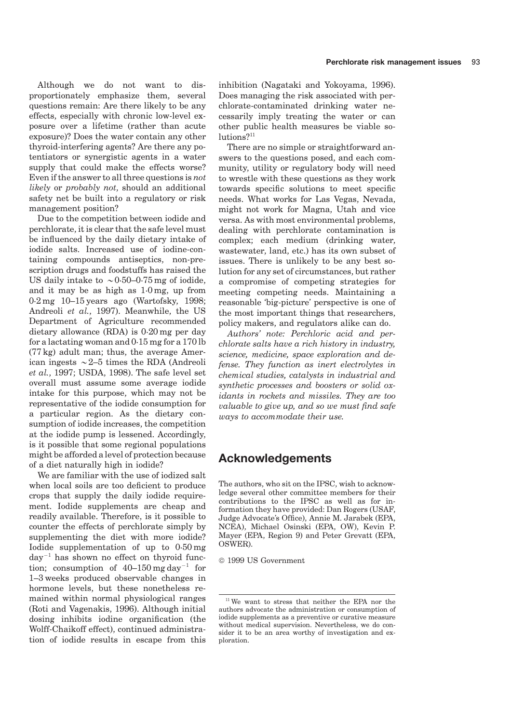Although we do not want to dis- inhibition [\(Nagataki and Yokoyama, 1996\)](#page-15-0). proportionately emphasize them, several Does managing the risk associated with perquestions remain: Are there likely to be any chlorate-contaminated drinking water neeffects, especially with chronic low-level ex- cessarily imply treating the water or can posure over a lifetime (rather than acute other public health measures be viable so-<br>exposure)? Does the water contain any other lutions?<sup>11</sup> exposure)? Does the water contain any other thyroid-interfering agents? Are there any po- There are no simple or straightforward antentiators or synergistic agents in a water swers to the questions posed, and each com-<br>supply that could make the effects worse? munity, utility or regulatory body will need Even if the answer to all three questions is *not* to wrestle with these questions as they work *likely* or *probably not*, should an additional towards specific solutions to meet specific safety net be built into a regulatory or risk needs. What works for Las Vegas, Nevada,

Due to the competition between iodide and versa. As with most environmental problems, perchlorate, it is clear that the safe level must dealing with perchlorate contamination is perchlorate, it is clear that the safe level must dealing with perchlorate contamination is<br>be influenced by the daily dietary intake of complex: each medium (drinking water. be influenced by the daily dietary intake of complex; each medium (drinking water, iodide salts. Increased use of iodine-coniodide salts. Increased use of iodine-con-<br>taining compounds antiseptics, non-pre-<br>issues There is unlikely to be any best sotaining compounds antiseptics, non-pre-<br>scription drugs and foodstuffs has raised the lution for any set of circumstances but rather US daily intake to  $\sim 0.50-0.75$  mg of iodide, a compromise of competing strategies for and it may be as high as  $1.0$  mg, up from meeting competing needs. Maintaining a and it may be as high as  $1.0 \text{ mg}$ , up from meeting competing needs. Maintaining a  $0.2 \text{ mg}$  10–15 years ago (Wartofsky, 1998; reasonable big-picture' perspective is one of Andreoli *et al.*, 1997). Meanwhile, the US the most important things that researchers, Department of Agriculture recommended policy makers, and regulators alike can do. Department of Agriculture recommended policy makers, and regulators alike can do.<br>dietary allowance (RDA) is  $0.20$  mg per day *Authors' note: Perchloric acid and per* dietary allowance (RDA) is 0.20 mg per day *Authors' note: Perchloric acid and per-*<br>for a lactating woman and 0.15 mg for a 170 lb *chlorate salts have a rich history in industry* for a lactating woman and 0·15 mg for a 170 lb *chlorate salts have a rich history in industry,* (77 kg) adult man; thus, the average Amer-<br>ican ingests  $\sim$  2–5 times the RDA (Andreoli fense. They function as inert electrolytes in ican ingests  $\sim$  2–5 times the RDA (Andreoli fense. They function as inert electrolytes in et al., 1997; [USDA, 1998\)](#page-16-0). The safe level set chemical studies, catalysts in industrial and overall must assume some average iodi at the iodide pump is lessened. Accordingly, is it possible that some regional populations might be afforded a level of protection because **Acknowledgements** of a diet naturally high in iodide?

We are familiar with the use of iodized salt when local soils are too deficient to produce The authors, who sit on the IPSC, wish to acknow-<br>grops that supply the deily iedide require crops that supply the daily iodide require-<br>ment. Iodide supplements are cheap and<br>readily available. Therefore, is it possible to Judge Advocate's Office), Annie M. Jarabek (EPA, counter the effects of perchlorate simply by NCEA), Michael Osinski (EPA, OW), Kevin P.<br>supplementing the diet with more jodide? Mayer (EPA, Region 9) and Peter Grevatt (EPA, supplementing the diet with more iodide? Mayer (E. Iodide, supplementation of up to  $0.50 \text{ mg}$ , OSWER). Iodide supplementation of up to  $0.50 \,\mathrm{mg}$  $day^{-1}$  has shown no effect on thyroid func-  $\circ$  1999 US Government tion; consumption of  $40-150$  mg day<sup>-1</sup> for 1–3 weeks produced observable changes in hormone levels, but these nonetheless remained within normal physiological ranges  $\overline{11}$  We want to stress that neither the EPA nor the (Roti and Vagenakis, 1996). Although initial authors advocate the administration or consumption of [\(Roti and Vagenakis, 1996](#page-15-0)). Although initial authors advocate the administration or consumption of dosing inhibits iodine, organification (the iodide supplements as a preventive or curative measure dosing inhibits iodine organification (the iodide supplements as a preventive or curative measure<br>Wolff-Chaikoff effect), continued administrations in the angle and ex-<br>sider it to be an area worthy of investigation and ex tion of iodide results in escape from this ploration.

munity, utility or regulatory body will need management position?<br>In might not work for Magna, Utah and vice<br>Due to the competition between iodide and<br>In the versa. As with most environmental problems, lution for any set of circumstances, but rather reasonable 'big-picture' perspective is one of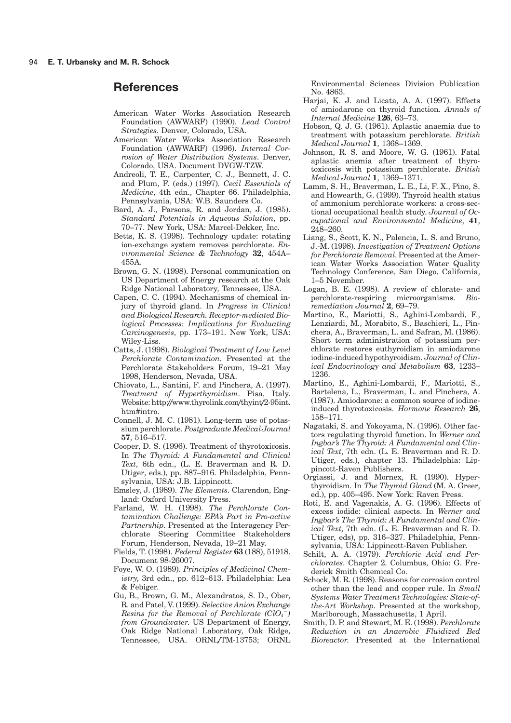- 
- 
- 
- 
- Betts, K. S. (1998). Technology update: rotating Liang, S., Scott, K. N., Palencia, L. S. and Bruno, ion-exchange system removes perchlorate. *En-* J.-M. (1998). *Investigation of Treatment Options ion-mental Science & T*
- US Department of Energy research at the Oak 1–5 November.<br>Ridge National Laboratory, Tennessee, USA. Logan, B. E. (19
- Capen, C. C. (1994). Mechanisms of chemical in-<br>
iury of thyroid gland. In *Progress in Clinical* remediation Journal 2, 69–79. jury of thyroid gland. In *Progress in Clinical Carcinogenesis*, pp. 173-191. New York, USA:
- Catts, J. (1998). *Biological Treatment of Low Level* Perchlorate Stakeholders Forum, 19–21 May *ical I*<br>1998 Handorson Neveda IISA 1998, Henderson, Nevada, USA. 1236.<br>hiovato J. Santini E. and Pinchera, A. (1997) Martino, E., Aghini-Lombardi, F., Mariotti, S.,
- Website: http://www.thyrolink.com/thyint/2-95int.
- 
- 
- 
- 
- 
- 
- *Resins for the Removal of Perchlorate (ClO<sub>4</sub><sup>-</sup>) <i>from Groundwater.* US Department of Energy, *from Groundwater*. US Department of Energy, Smith, D. P. and Stewart, M. E. (1998). *Perchlorate*

<span id="page-15-0"></span>**References** Environmental Sciences Division Publication **References** 

- Harjai, K. J. and Licata, A. A. (1997). Effects of amiodarone on thyroid function. Annals of
- 
- 
- American Water Works Association Research of amiodarone on thyroid function. Annals of Foundation (AWWARF) (1990). Lead Control Hobson, Q. J. G. (1961). Aplastic anaemia due to Strategies. Denver, Colorado, USA. Control t
- *vironmental Science & Technology* **32**, 454A– *for Perchlorate Removal*. Presented at the Amer-455A. ican Water Works Association Water Quality<br>Brown, G. N. (1998). Personal communication on Technology Conference. San Diego. California. Technology Conference, San Diego, California,
	- Logan, B. E. (1998). A review of chlorate- and perchlorate-respiring microorganisms. Bio-
	- *and Biological Research. Receptor-mediated Bio-* Martino, E., Mariotti, S., Aghini-Lombardi, F., *logical Processes: Implications for Evaluating* Lenziardi, M., Morabito, S., Baschieri, L., Pin-Wiley-Liss. Short term administration of potassium per-<br>atts. J. (1998). Biological Treatment of Low Level chlorate restores euthyroidism in amiodarone *Perchlorate Contamination*. Presented at the iodine-induced hypothyroidism. *Journal of Clin*-<br>Perchlorate Stakeholders Forum. 19–21 May *ical Endocrinology and Metabolism* **63**, 1233–
- Chiovato, L., Santini, F. and Pinchera, A. (1997). Martino, E., Aghini-Lombardi, F., Mariotti, S.,<br>Treatment of Hyperthymidism Pisa Italy Bartelena, L., Braverman, L. and Pinchera, A. *Treatment of Hyperthyroidism.* Pisa, Italy. Bartelena, L., Braverman, L. and Pinchera, A. Website: http://www.thyrolink.com/thyint/2.95int (1987). Amiodarone: a common source of iodineinduced thyrotoxicosis. *Hormone Research* 26,<br>Connell. J. M. C. (1981). Long-term use of potas-<br> $158-171$ .
- Connell, J. M. C. (1981). Long-term use of potas<br>
imperchiorate. Postgraduate Medical Journal<br>
168–171.<br>
imperchiorate. Postgraduate Medical Journal<br>
168–171.<br>
167.516–517.<br>
Cooper, D. S. (1996). Treatment of thyrotoxicos
	-
	-
- Pields, T. (1998). *Federal Register* **03** (188), 51918. Schilt, A. A. (1979). *Perchloric Acid and Per-* Columbus, Ohio: G. Fre-<br>Foye, W. O. (1989). *Principles of Medicinal Chem-*<br>*istry*, 3rd edn., pp. 612–613. Philadel
- *istry*, 3rd edn., pp. 612–613. Philadelphia: Lea Schock, M. R. (1998). Reasons for corrosion control  $\&$  Febiger. & Febiger. other than the lead and copper rule. In *Small* u, B., Brown, G. M., Alexandratos, S. D., Ober, *Systems Water Treatment Technologies: State-of-*<br>R. and Patel, V. (1999). *Selective Anion Exchange* the-Art Workshop. Presented at the workshop. the-Art Workshop. Presented at the workshop, <sup>−</sup>*)* Marlborough, Massachusetts, 1 April.
	- Reduction in an Anaerobic Fluidized Bed Tennessee, USA. ORNL/TM-13753; ORNL *Bioreactor*. Presented at the International